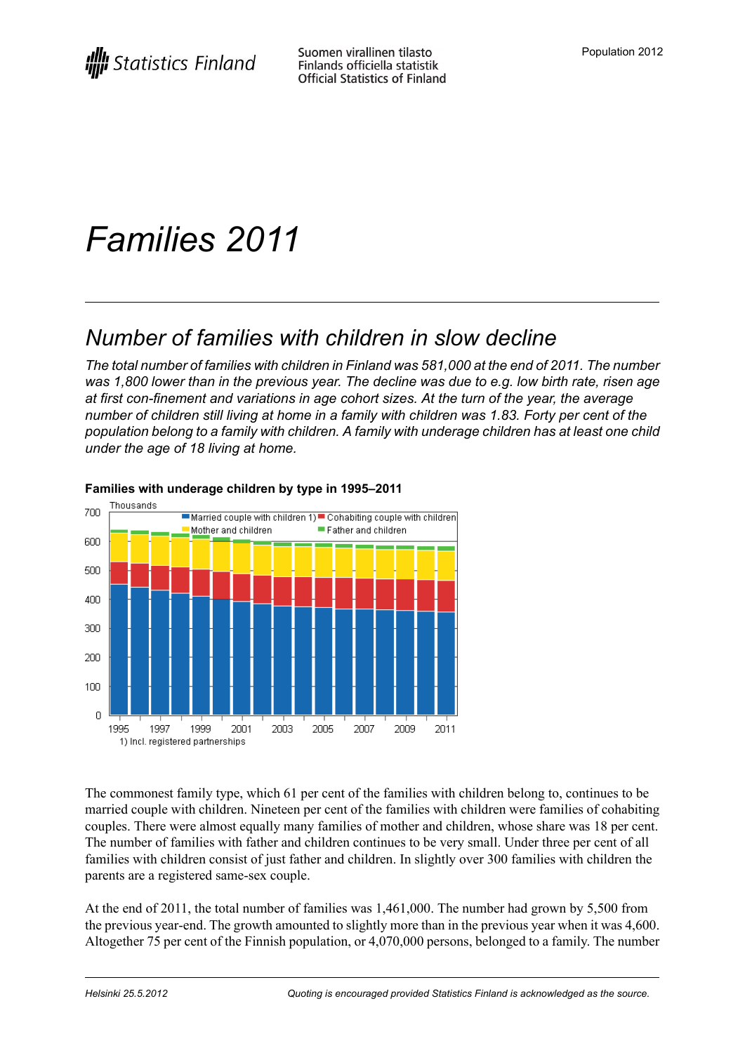# *Families 2011*

## *Number of families with children in slow decline*

*The total number of families with children in Finland was 581,000 at the end of 2011. The number* was 1,800 lower than in the previous year. The decline was due to e.g. low birth rate, risen age *at first con-finement and variations in age cohort sizes. At the turn of the year, the average* number of children still living at home in a family with children was 1.83. Forty per cent of the *population belong to a family with children. A family with underage children has at least one child under the age of 18 living at home.*



#### **Families with underage children by type in 1995–2011**

The commonest family type, which 61 per cent of the families with children belong to, continues to be married couple with children. Nineteen per cent of the families with children were families of cohabiting couples. There were almost equally many families of mother and children, whose share was 18 per cent. The number of families with father and children continues to be very small. Under three per cent of all families with children consist of just father and children. In slightly over 300 families with children the parents are a registered same-sex couple.

At the end of 2011, the total number of families was 1,461,000. The number had grown by 5,500 from the previous year-end. The growth amounted to slightly more than in the previous year when it was 4,600. Altogether 75 per cent of the Finnish population, or 4,070,000 persons, belonged to a family. The number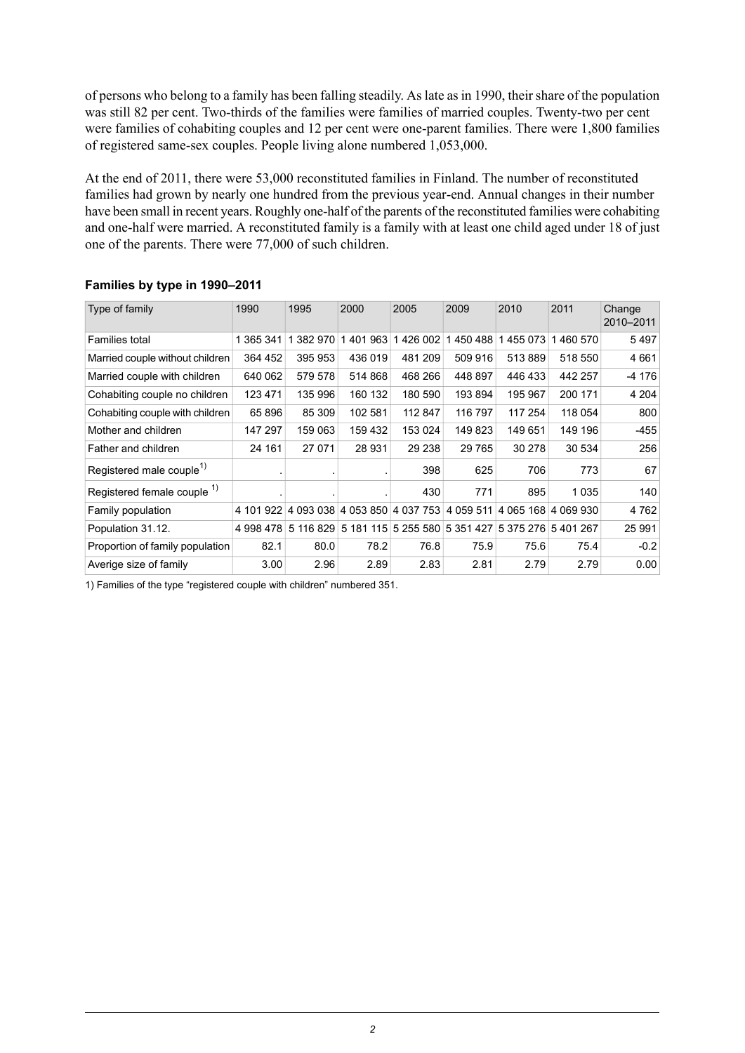of persons who belong to a family has been falling steadily. As late as in 1990, their share of the population was still 82 per cent. Two-thirds of the families were families of married couples. Twenty-two per cent were families of cohabiting couples and 12 per cent were one-parent families. There were 1,800 families of registered same-sex couples. People living alone numbered 1,053,000.

At the end of 2011, there were 53,000 reconstituted families in Finland. The number of reconstituted families had grown by nearly one hundred from the previous year-end. Annual changes in their number have been small in recent years. Roughly one-half of the parents of the reconstituted families were cohabiting and one-half were married. A reconstituted family is a family with at least one child aged under 18 of just one of the parents. There were 77,000 of such children.

| Type of family                         | 1990      | 1995      | 2000      | 2005                          | 2009                | 2010                | 2011    | Change<br>2010-2011 |
|----------------------------------------|-----------|-----------|-----------|-------------------------------|---------------------|---------------------|---------|---------------------|
| Families total                         | 1 365 341 | 1 382 970 | 401 963   | 1426 002                      | 1450488             | 455 073             | 460 570 | 5497                |
| Married couple without children        | 364 452   | 395 953   | 436 019   | 481 209                       | 509 916             | 513889              | 518 550 | 4 6 6 1             |
| Married couple with children           | 640 062   | 579 578   | 514 868   | 468 266                       | 448 897             | 446 433             | 442 257 | -4 176              |
| Cohabiting couple no children          | 123 471   | 135 996   | 160 132   | 180 590                       | 193894              | 195 967             | 200 171 | 4 204               |
| Cohabiting couple with children        | 65896     | 85 309    | 102 581   | 112 847                       | 116 797             | 117 254             | 118 054 | 800                 |
| Mother and children                    | 147 297   | 159 063   | 159 432   | 153 024                       | 149823              | 149 651             | 149 196 | -455                |
| Father and children                    | 24 161    | 27 071    | 28 931    | 29 238                        | 29 7 65             | 30 278              | 30 534  | 256                 |
| Registered male couple <sup>1)</sup>   |           |           |           | 398                           | 625                 | 706                 | 773     | 67                  |
| Registered female couple <sup>1)</sup> |           |           |           | 430                           | 771                 | 895                 | 1 0 3 5 | 140                 |
| Family population                      | 4 101 922 |           |           | 4 093 038 4 053 850 4 037 753 | 4 059 511           | 4 065 168 4 069 930 |         | 4762                |
| Population 31.12.                      | 4 998 478 | 5 116 829 | 5 181 115 |                               | 5 255 580 5 351 427 | 5 375 276           | 5401267 | 25 991              |
| Proportion of family population        | 82.1      | 80.0      | 78.2      | 76.8                          | 75.9                | 75.6                | 75.4    | $-0.2$              |
| Averige size of family                 | 3.00      | 2.96      | 2.89      | 2.83                          | 2.81                | 2.79                | 2.79    | 0.00                |

#### **Families by type in 1990–2011**

1) Families of the type "registered couple with children" numbered 351.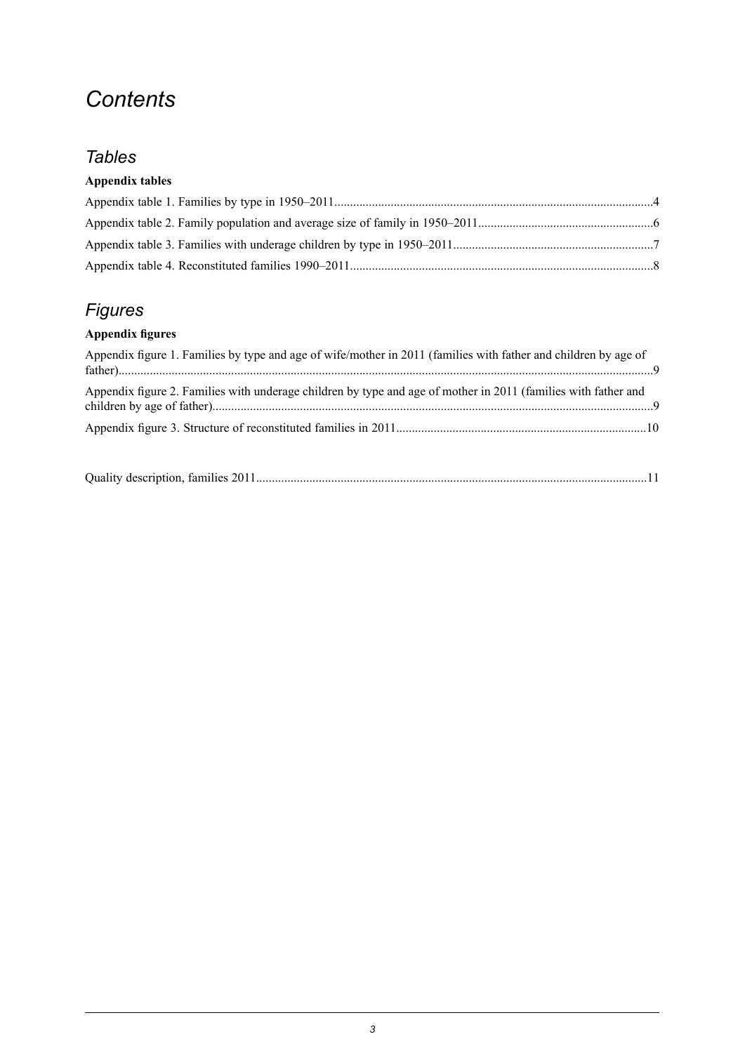## *Contents*

### *Tables*

### **Appendix tables**

## *Figures*

### **Appendix figures**

| Appendix figure 1. Families by type and age of wife/mother in 2011 (families with father and children by age of |  |
|-----------------------------------------------------------------------------------------------------------------|--|
| Appendix figure 2. Families with underage children by type and age of mother in 2011 (families with father and  |  |
|                                                                                                                 |  |
|                                                                                                                 |  |

|--|--|--|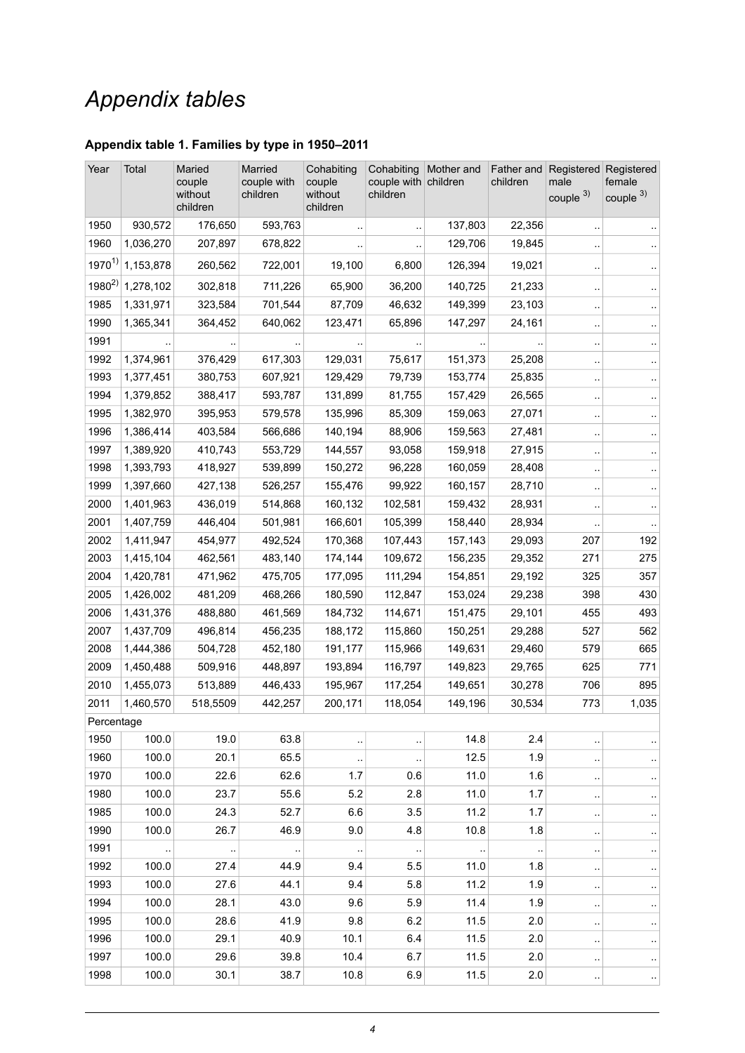## *Appendix tables*

### <span id="page-3-0"></span>**Appendix table 1. Families by type in 1950–2011**

| Year       | Total     | Maried<br>couple<br>without<br>children | Married<br>couple with<br>children | Cohabiting<br>couple<br>without<br>children | Cohabiting<br>couple with children<br>children | Mother and           | children  | Father and Registered<br>male<br>couple 3) | Registered<br>female<br>couple <sup>3)</sup> |
|------------|-----------|-----------------------------------------|------------------------------------|---------------------------------------------|------------------------------------------------|----------------------|-----------|--------------------------------------------|----------------------------------------------|
| 1950       | 930,572   | 176,650                                 | 593,763                            |                                             |                                                | 137,803              | 22,356    | $\ddot{\phantom{0}}$                       |                                              |
| 1960       | 1,036,270 | 207,897                                 | 678,822                            |                                             |                                                | 129,706              | 19,845    |                                            |                                              |
| $1970^{1}$ | 1,153,878 | 260,562                                 | 722,001                            | 19,100                                      | 6,800                                          | 126,394              | 19,021    | $\ddot{\phantom{0}}$                       |                                              |
| $1980^{2}$ | 1,278,102 | 302,818                                 | 711,226                            | 65,900                                      | 36,200                                         | 140,725              | 21,233    | $\ddot{\phantom{0}}$                       |                                              |
| 1985       | 1,331,971 | 323,584                                 | 701,544                            | 87,709                                      | 46,632                                         | 149,399              | 23,103    |                                            |                                              |
| 1990       | 1,365,341 | 364,452                                 | 640,062                            | 123,471                                     | 65,896                                         | 147,297              | 24,161    | $\cdot$                                    |                                              |
| 1991       |           |                                         |                                    |                                             |                                                |                      |           | $\ddot{\phantom{0}}$                       |                                              |
| 1992       | 1,374,961 | 376,429                                 | 617,303                            | 129,031                                     | 75,617                                         | 151,373              | 25,208    |                                            |                                              |
| 1993       | 1,377,451 | 380,753                                 | 607,921                            | 129,429                                     | 79,739                                         | 153,774              | 25,835    | $\ddot{\phantom{0}}$                       |                                              |
| 1994       | 1,379,852 | 388,417                                 | 593,787                            | 131,899                                     | 81,755                                         | 157,429              | 26,565    |                                            |                                              |
| 1995       | 1,382,970 | 395,953                                 | 579,578                            | 135,996                                     | 85,309                                         | 159,063              | 27,071    | $\ddot{\phantom{0}}$                       |                                              |
| 1996       | 1,386,414 | 403,584                                 | 566,686                            | 140,194                                     | 88,906                                         | 159,563              | 27,481    | $\ddot{\phantom{0}}$                       |                                              |
| 1997       | 1,389,920 | 410,743                                 | 553,729                            | 144,557                                     | 93,058                                         | 159,918              | 27,915    | $\cdot$                                    |                                              |
| 1998       | 1,393,793 | 418,927                                 | 539,899                            | 150,272                                     | 96,228                                         | 160,059              | 28,408    | $\cdot$                                    |                                              |
| 1999       | 1,397,660 | 427,138                                 | 526,257                            | 155,476                                     | 99,922                                         | 160,157              | 28,710    |                                            |                                              |
| 2000       | 1,401,963 | 436,019                                 | 514,868                            | 160,132                                     | 102,581                                        | 159,432              | 28,931    |                                            |                                              |
| 2001       | 1,407,759 | 446,404                                 | 501,981                            | 166,601                                     | 105,399                                        | 158,440              | 28,934    |                                            |                                              |
| 2002       | 1,411,947 | 454,977                                 | 492,524                            | 170,368                                     | 107,443                                        | 157,143              | 29,093    | 207                                        | 192                                          |
| 2003       | 1,415,104 | 462,561                                 | 483,140                            | 174,144                                     | 109,672                                        | 156,235              | 29,352    | 271                                        | 275                                          |
| 2004       | 1,420,781 | 471,962                                 | 475,705                            | 177,095                                     | 111,294                                        | 154,851              | 29,192    | 325                                        | 357                                          |
| 2005       | 1,426,002 | 481,209                                 | 468,266                            | 180,590                                     | 112,847                                        | 153,024              | 29,238    | 398                                        | 430                                          |
| 2006       | 1,431,376 | 488,880                                 | 461,569                            | 184,732                                     | 114,671                                        | 151,475              | 29,101    | 455                                        | 493                                          |
| 2007       | 1,437,709 | 496,814                                 | 456,235                            | 188,172                                     | 115,860                                        | 150,251              | 29,288    | 527                                        | 562                                          |
| 2008       | 1,444,386 | 504,728                                 | 452,180                            | 191,177                                     | 115,966                                        | 149,631              | 29,460    | 579                                        | 665                                          |
| 2009       | 1,450,488 | 509,916                                 | 448,897                            | 193,894                                     | 116,797                                        | 149,823              | 29,765    | 625                                        | 771                                          |
| 2010       | 1,455,073 | 513,889                                 | 446,433                            | 195,967                                     | 117,254                                        | 149,651              | 30,278    | 706                                        | 895                                          |
| 2011       | 1,460,570 | 518,5509                                | 442,257                            | 200,171                                     | 118,054                                        | 149,196              | 30,534    | 773                                        | 1,035                                        |
| Percentage |           |                                         |                                    |                                             |                                                |                      |           |                                            |                                              |
| 1950       | 100.0     | 19.0                                    | 63.8                               |                                             | $\ddotsc$                                      | 14.8                 | 2.4       | $\ddot{\phantom{0}}$                       |                                              |
| 1960       | 100.0     | 20.1                                    | 65.5                               |                                             | $\ddot{\phantom{1}}$                           | 12.5                 | 1.9       | $\ddot{\phantom{1}}$                       |                                              |
| 1970       | 100.0     | 22.6                                    | 62.6                               | 1.7                                         | 0.6                                            | 11.0                 | 1.6       | $\cdot$ .                                  |                                              |
| 1980       | 100.0     | 23.7                                    | 55.6                               | 5.2                                         | 2.8                                            | 11.0                 | 1.7       | $\ddot{\phantom{0}}$                       |                                              |
| 1985       | 100.0     | 24.3                                    | 52.7                               | 6.6                                         | 3.5                                            | 11.2                 | 1.7       | $\ddot{\phantom{0}}$                       |                                              |
| 1990       | 100.0     | 26.7                                    | 46.9                               | 9.0                                         | 4.8                                            | 10.8                 | 1.8       | $\ddot{\phantom{0}}$                       |                                              |
| 1991       | $\ddotsc$ | $\ddot{\phantom{0}}$                    | $\ddot{\phantom{a}}$ .             | $\ddot{\phantom{a}}$                        | $\ddotsc$                                      | $\ddot{\phantom{a}}$ | $\ddotsc$ | $\ddot{\phantom{1}}$                       |                                              |
| 1992       | 100.0     | 27.4                                    | 44.9                               | 9.4                                         | 5.5                                            | 11.0                 | 1.8       | $\ddot{\phantom{0}}$                       |                                              |
| 1993       | 100.0     | 27.6                                    | 44.1                               | 9.4                                         | 5.8                                            | 11.2                 | 1.9       | $\ddot{\phantom{1}}$                       | .,                                           |
| 1994       | 100.0     | 28.1                                    | 43.0                               | 9.6                                         | 5.9                                            | 11.4                 | 1.9       | $\ddot{\phantom{0}}$                       |                                              |
| 1995       | 100.0     | 28.6                                    | 41.9                               | 9.8                                         | 6.2                                            | 11.5                 | 2.0       | $\ddot{\phantom{0}}$                       |                                              |
| 1996       | 100.0     | 29.1                                    | 40.9                               | 10.1                                        | 6.4                                            | 11.5                 | 2.0       | $\ddot{\phantom{0}}$                       |                                              |
| 1997       | 100.0     | 29.6                                    | 39.8                               | 10.4                                        | 6.7                                            | 11.5                 | 2.0       | $\ddot{\phantom{0}}$                       |                                              |
| 1998       | 100.0     | 30.1                                    | 38.7                               | 10.8                                        | 6.9                                            | 11.5                 | 2.0       | $\ddot{\phantom{0}}$                       |                                              |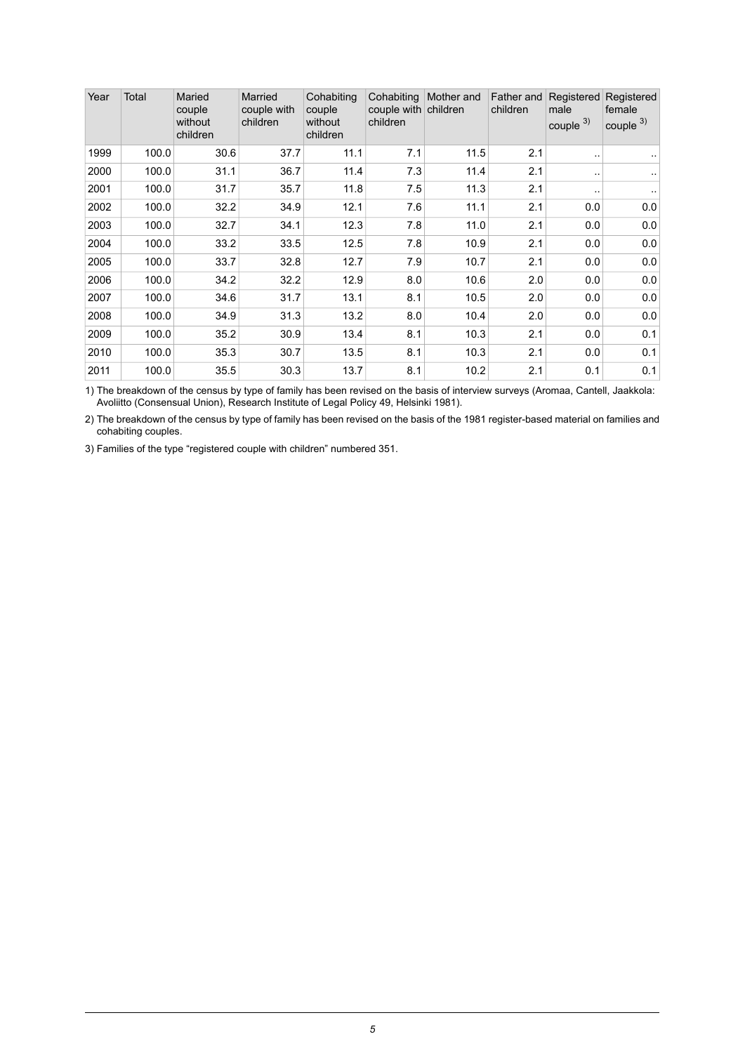| Year | Total | Maried<br>couple<br>without<br>children | Married<br>couple with<br>children | Cohabiting<br>couple<br>without<br>children | Cohabiting<br>couple with children<br>children | Mother and | Father and<br>children | Registered<br>male<br>couple $3)$ | Registered<br>female<br>couple $3)$ |
|------|-------|-----------------------------------------|------------------------------------|---------------------------------------------|------------------------------------------------|------------|------------------------|-----------------------------------|-------------------------------------|
| 1999 | 100.0 | 30.6                                    | 37.7                               | 11.1                                        | 7.1                                            | 11.5       | 2.1                    |                                   |                                     |
| 2000 | 100.0 | 31.1                                    | 36.7                               | 11.4                                        | 7.3                                            | 11.4       | 2.1                    | $\cdot$ .                         |                                     |
| 2001 | 100.0 | 31.7                                    | 35.7                               | 11.8                                        | 7.5                                            | 11.3       | 2.1                    | $\cdot$ .                         |                                     |
| 2002 | 100.0 | 32.2                                    | 34.9                               | 12.1                                        | 7.6                                            | 11.1       | 2.1                    | 0.0                               | 0.0                                 |
| 2003 | 100.0 | 32.7                                    | 34.1                               | 12.3                                        | 7.8                                            | 11.0       | 2.1                    | 0.0                               | 0.0                                 |
| 2004 | 100.0 | 33.2                                    | 33.5                               | 12.5                                        | 7.8                                            | 10.9       | 2.1                    | 0.0                               | 0.0                                 |
| 2005 | 100.0 | 33.7                                    | 32.8                               | 12.7                                        | 7.9                                            | 10.7       | 2.1                    | 0.0                               | 0.0                                 |
| 2006 | 100.0 | 34.2                                    | 32.2                               | 12.9                                        | 8.0                                            | 10.6       | 2.0                    | 0.0                               | 0.0                                 |
| 2007 | 100.0 | 34.6                                    | 31.7                               | 13.1                                        | 8.1                                            | 10.5       | 2.0                    | 0.0                               | 0.0                                 |
| 2008 | 100.0 | 34.9                                    | 31.3                               | 13.2                                        | 8.0                                            | 10.4       | 2.0                    | 0.0                               | 0.0                                 |
| 2009 | 100.0 | 35.2                                    | 30.9                               | 13.4                                        | 8.1                                            | 10.3       | 2.1                    | 0.0                               | 0.1                                 |
| 2010 | 100.0 | 35.3                                    | 30.7                               | 13.5                                        | 8.1                                            | 10.3       | 2.1                    | 0.0                               | 0.1                                 |
| 2011 | 100.0 | 35.5                                    | 30.3                               | 13.7                                        | 8.1                                            | 10.2       | 2.1                    | 0.1                               | 0.1                                 |

The breakdown of the census by type of family has been revised on the basis of interview surveys (Aromaa, Cantell, Jaakkola: Avoliitto (Consensual Union), Research Institute of Legal Policy 49, Helsinki 1981). 1)

2) The breakdown of the census by type of family has been revised on the basis of the 1981 register-based material on families and cohabiting couples.

3) Families of the type "registered couple with children" numbered 351.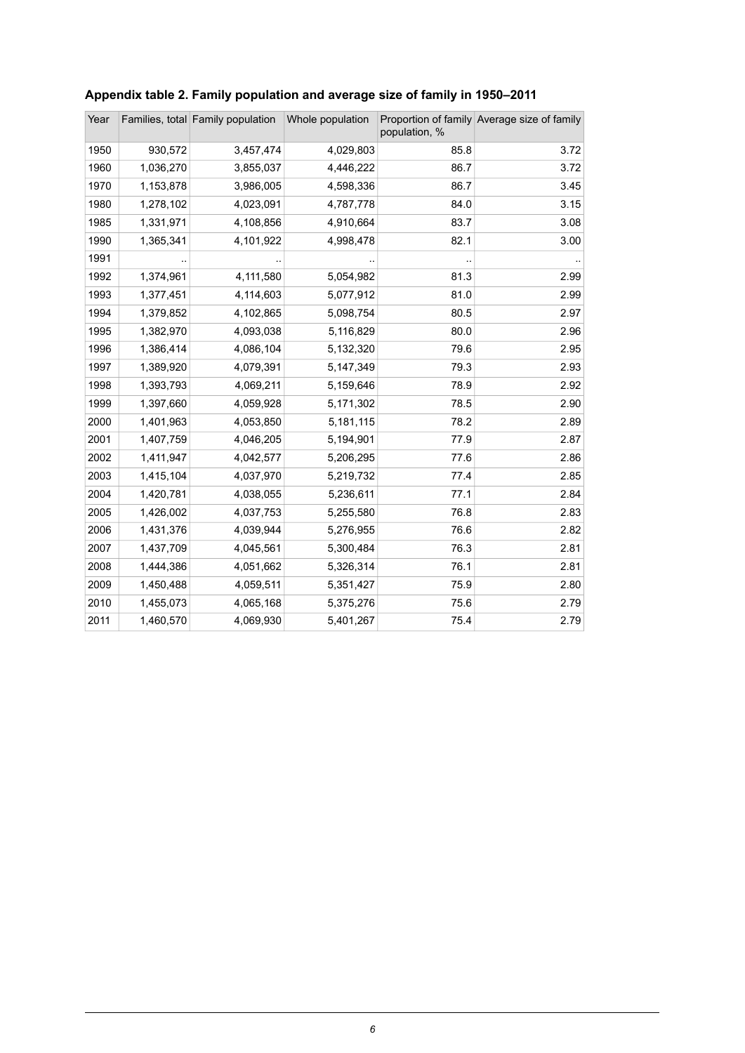| Year |           | Families, total Family population | Whole population | population, % | Proportion of family Average size of family |
|------|-----------|-----------------------------------|------------------|---------------|---------------------------------------------|
| 1950 | 930,572   | 3,457,474                         | 4,029,803        | 85.8          | 3.72                                        |
| 1960 | 1,036,270 | 3,855,037                         | 4,446,222        | 86.7          | 3.72                                        |
| 1970 | 1,153,878 | 3,986,005                         | 4,598,336        | 86.7          | 3.45                                        |
| 1980 | 1,278,102 | 4,023,091                         | 4,787,778        | 84.0          | 3.15                                        |
| 1985 | 1,331,971 | 4,108,856                         | 4,910,664        | 83.7          | 3.08                                        |
| 1990 | 1,365,341 | 4,101,922                         | 4,998,478        | 82.1          | 3.00                                        |
| 1991 |           |                                   |                  |               |                                             |
| 1992 | 1,374,961 | 4,111,580                         | 5,054,982        | 81.3          | 2.99                                        |
| 1993 | 1,377,451 | 4,114,603                         | 5,077,912        | 81.0          | 2.99                                        |
| 1994 | 1,379,852 | 4,102,865                         | 5,098,754        | 80.5          | 2.97                                        |
| 1995 | 1,382,970 | 4,093,038                         | 5,116,829        | 80.0          | 2.96                                        |
| 1996 | 1,386,414 | 4,086,104                         | 5,132,320        | 79.6          | 2.95                                        |
| 1997 | 1,389,920 | 4,079,391                         | 5,147,349        | 79.3          | 2.93                                        |
| 1998 | 1,393,793 | 4,069,211                         | 5,159,646        | 78.9          | 2.92                                        |
| 1999 | 1,397,660 | 4,059,928                         | 5,171,302        | 78.5          | 2.90                                        |
| 2000 | 1,401,963 | 4,053,850                         | 5,181,115        | 78.2          | 2.89                                        |
| 2001 | 1,407,759 | 4,046,205                         | 5,194,901        | 77.9          | 2.87                                        |
| 2002 | 1,411,947 | 4,042,577                         | 5,206,295        | 77.6          | 2.86                                        |
| 2003 | 1,415,104 | 4,037,970                         | 5,219,732        | 77.4          | 2.85                                        |
| 2004 | 1,420,781 | 4,038,055                         | 5,236,611        | 77.1          | 2.84                                        |
| 2005 | 1,426,002 | 4,037,753                         | 5,255,580        | 76.8          | 2.83                                        |
| 2006 | 1,431,376 | 4,039,944                         | 5,276,955        | 76.6          | 2.82                                        |
| 2007 | 1,437,709 | 4,045,561                         | 5,300,484        | 76.3          | 2.81                                        |
| 2008 | 1,444,386 | 4,051,662                         | 5,326,314        | 76.1          | 2.81                                        |
| 2009 | 1,450,488 | 4,059,511                         | 5,351,427        | 75.9          | 2.80                                        |
| 2010 | 1,455,073 | 4,065,168                         | 5,375,276        | 75.6          | 2.79                                        |
| 2011 | 1,460,570 | 4,069,930                         | 5,401,267        | 75.4          | 2.79                                        |

### <span id="page-5-0"></span>**Appendix table 2. Family population and average size of family in 1950–2011**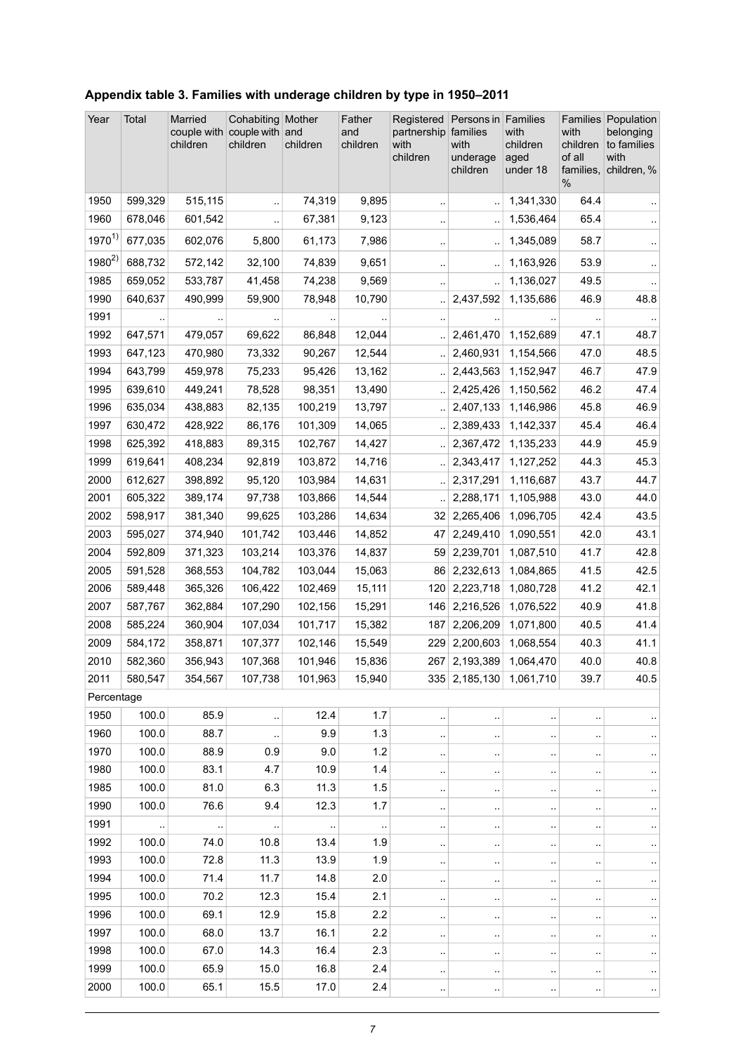| Year         | Total              | Married<br>couple with<br>children | Cohabiting Mother<br>couple with and<br>children | children           | Father<br>and<br>children | Registered<br>partnership<br>with<br>children | Persons in Families<br>families<br>with<br>underage<br>children | with<br>children<br>aged<br>under 18 | with<br>children<br>of all<br>families,<br>$\%$ | Families Population<br>belonging<br>to families<br>with<br>children, % |
|--------------|--------------------|------------------------------------|--------------------------------------------------|--------------------|---------------------------|-----------------------------------------------|-----------------------------------------------------------------|--------------------------------------|-------------------------------------------------|------------------------------------------------------------------------|
| 1950         | 599,329            | 515,115                            | $\ddot{\phantom{0}}$                             | 74,319             | 9,895                     | $\ddot{\phantom{1}}$                          |                                                                 | 1,341,330                            | 64.4                                            |                                                                        |
| 1960         | 678,046            | 601,542                            |                                                  | 67,381             | 9,123                     | ٠.                                            |                                                                 | 1,536,464                            | 65.4                                            |                                                                        |
| $1970^{1}$   | 677,035            | 602,076                            | 5,800                                            | 61,173             | 7,986                     | $\ddot{\phantom{a}}$                          | $\ddotsc$                                                       | 1,345,089                            | 58.7                                            |                                                                        |
| $1980^{2}$   | 688,732            | 572,142                            | 32,100                                           | 74,839             | 9,651                     | $\cdot$                                       |                                                                 | 1,163,926                            | 53.9                                            | $\ddot{\phantom{1}}$                                                   |
| 1985         | 659,052            | 533,787                            | 41,458                                           | 74,238             | 9,569                     |                                               |                                                                 | 1,136,027                            | 49.5                                            |                                                                        |
| 1990         | 640,637            | 490,999                            | 59,900                                           | 78,948             | 10,790                    |                                               | 2,437,592                                                       | 1,135,686                            | 46.9                                            | 48.8                                                                   |
| 1991         |                    |                                    |                                                  |                    |                           |                                               |                                                                 |                                      |                                                 |                                                                        |
| 1992         | 647,571            | 479,057                            | 69,622                                           | 86,848             | 12,044                    | $\ddot{\phantom{a}}$                          | 2,461,470                                                       | 1,152,689                            | 47.1                                            | 48.7                                                                   |
| 1993         | 647,123            | 470,980                            | 73,332                                           | 90,267             | 12,544                    | $\ddotsc$                                     | 2,460,931                                                       | 1,154,566                            | 47.0                                            | 48.5                                                                   |
| 1994         | 643,799            | 459,978                            | 75,233                                           | 95,426             | 13,162                    | $\ddotsc$                                     | 2,443,563                                                       | 1,152,947                            | 46.7                                            | 47.9                                                                   |
| 1995         | 639,610            | 449,241                            | 78,528                                           | 98,351             | 13,490                    | $\ddotsc$                                     | 2,425,426                                                       | 1,150,562                            | 46.2                                            | 47.4                                                                   |
| 1996         | 635,034            | 438,883                            | 82,135                                           | 100,219            | 13,797                    | $\ddot{\phantom{a}}$                          | 2,407,133                                                       | 1,146,986                            | 45.8                                            | 46.9                                                                   |
| 1997         | 630,472            | 428,922                            | 86,176                                           | 101,309            | 14,065                    | $\ddot{\phantom{a}}$                          | 2,389,433                                                       | 1,142,337                            | 45.4                                            | 46.4                                                                   |
| 1998         | 625,392            | 418,883                            | 89,315                                           | 102,767            | 14,427                    | $\ddot{\phantom{a}}$                          | 2,367,472                                                       | 1,135,233                            | 44.9                                            | 45.9                                                                   |
| 1999         | 619,641            | 408,234                            | 92,819                                           | 103,872            | 14,716                    | $\ddot{\phantom{a}}$                          | 2,343,417                                                       | 1,127,252                            | 44.3                                            | 45.3                                                                   |
| 2000<br>2001 | 612,627            | 398,892                            | 95,120                                           | 103,984            | 14,631                    | $\ddot{\phantom{a}}$                          | 2,317,291<br>2,288,171                                          | 1,116,687                            | 43.7                                            | 44.7                                                                   |
| 2002         | 605,322<br>598,917 | 389,174<br>381,340                 | 97,738<br>99,625                                 | 103,866<br>103,286 | 14,544<br>14,634          | 32                                            | 2,265,406                                                       | 1,105,988<br>1,096,705               | 43.0<br>42.4                                    | 44.0<br>43.5                                                           |
| 2003         | 595,027            | 374,940                            | 101,742                                          | 103,446            |                           | 47                                            | 2,249,410                                                       | 1,090,551                            | 42.0                                            | 43.1                                                                   |
| 2004         | 592,809            | 371,323                            | 103,214                                          | 103,376            | 14,852<br>14,837          | 59                                            | 2,239,701                                                       | 1,087,510                            | 41.7                                            | 42.8                                                                   |
| 2005         | 591,528            | 368,553                            | 104,782                                          | 103,044            | 15,063                    |                                               | 86 2,232,613                                                    | 1,084,865                            | 41.5                                            | 42.5                                                                   |
| 2006         | 589,448            | 365,326                            | 106,422                                          | 102,469            | 15,111                    | 120                                           | 2,223,718                                                       | 1,080,728                            | 41.2                                            | 42.1                                                                   |
| 2007         | 587,767            | 362,884                            | 107,290                                          | 102,156            | 15,291                    |                                               | 146 2,216,526                                                   | 1,076,522                            | 40.9                                            | 41.8                                                                   |
| 2008         | 585,224            | 360,904                            | 107,034                                          | 101,717            | 15,382                    | 187                                           | 2,206,209                                                       | 1,071,800                            | 40.5                                            | 41.4                                                                   |
| 2009         | 584,172            | 358,871                            | 107,377                                          | 102,146            | 15,549                    | 229                                           | 2,200,603                                                       | 1,068,554                            | 40.3                                            | 41.1                                                                   |
| 2010         | 582,360            | 356,943                            | 107,368                                          | 101,946            | 15,836                    |                                               | 267 2,193,389                                                   | 1,064,470                            | 40.0                                            | 40.8                                                                   |
| 2011         | 580,547            | 354,567                            | 107,738                                          | 101,963            | 15,940                    |                                               |                                                                 | 335 2,185,130 1,061,710              | 39.7                                            | 40.5                                                                   |
| Percentage   |                    |                                    |                                                  |                    |                           |                                               |                                                                 |                                      |                                                 |                                                                        |
| 1950         | 100.0              | 85.9                               |                                                  | 12.4               | 1.7                       | $\cdot$ :                                     |                                                                 |                                      |                                                 |                                                                        |
| 1960         | 100.0              | 88.7                               |                                                  | 9.9                | 1.3                       | $\cdot$ .                                     |                                                                 |                                      |                                                 | $\cdot$ .                                                              |
| 1970         | 100.0              | 88.9                               | 0.9                                              | 9.0                | 1.2                       | $\ddot{\phantom{a}}$                          | $\ddotsc$                                                       | $\ddot{\phantom{a}}$                 |                                                 |                                                                        |
| 1980         | 100.0              | 83.1                               | 4.7                                              | 10.9               | 1.4                       | $\cdot$                                       | $\cdot$ .                                                       | $\ddotsc$                            |                                                 | $\sim$                                                                 |
| 1985         | 100.0              | 81.0                               | 6.3                                              | 11.3               | 1.5                       | $\cdot$ .                                     | $\bar{\phantom{a}}$                                             |                                      |                                                 | $\epsilon$                                                             |
| 1990         | 100.0              | 76.6                               | 9.4                                              | 12.3               | 1.7                       | $\cdot$                                       |                                                                 |                                      |                                                 | $\cdot$                                                                |
| 1991         | $\ddotsc$          | $\cdot$ .                          | $\ddot{\phantom{a}}$                             | $\epsilon$         |                           | $\cdot$ .                                     | $\cdot$ .                                                       |                                      | $\ddot{\phantom{a}}$                            | $\cdot$                                                                |
| 1992         | 100.0              | 74.0                               | 10.8                                             | 13.4               | 1.9                       |                                               |                                                                 |                                      |                                                 |                                                                        |
| 1993         | 100.0              | 72.8                               | 11.3                                             | 13.9               | 1.9                       | $\ddot{\phantom{1}}$                          | $\ddot{\phantom{a}}$                                            | $\ddotsc$                            |                                                 | $\ddot{\phantom{1}}$                                                   |
| 1994         | 100.0              | 71.4                               | 11.7                                             | 14.8               | 2.0                       | $\cdot$                                       | $\ddotsc$                                                       |                                      |                                                 | $\cdot$ .                                                              |
| 1995         | 100.0              | 70.2                               | 12.3                                             | 15.4               | 2.1                       | $\cdot$ .                                     | $\ddotsc$                                                       |                                      |                                                 | $\cdot$                                                                |
| 1996         | 100.0              | 69.1                               | 12.9                                             | 15.8               | 2.2                       | $\cdot$                                       | $\ddot{\phantom{1}}$                                            | $\ddotsc$                            |                                                 | $\epsilon$                                                             |
| 1997         | 100.0              | 68.0                               | 13.7                                             | 16.1               | 2.2                       | $\cdot$                                       | $\ddotsc$                                                       |                                      |                                                 | $\cdot$ .                                                              |
| 1998         | 100.0              | 67.0                               | 14.3                                             | 16.4               | 2.3                       | $\cdot$ .                                     | $\ddotsc$                                                       |                                      |                                                 | $\ddot{\phantom{1}}$                                                   |
| 1999         | 100.0              | 65.9                               | 15.0                                             | 16.8               | 2.4                       |                                               |                                                                 |                                      |                                                 |                                                                        |
| 2000         | 100.0              | 65.1                               | 15.5                                             | 17.0               | 2.4                       | $\ddot{\phantom{a}}$ .                        | $\ddot{\phantom{1}}$                                            |                                      |                                                 | $\sim$                                                                 |

### <span id="page-6-0"></span>**Appendix table 3. Families with underage children by type in 1950–2011**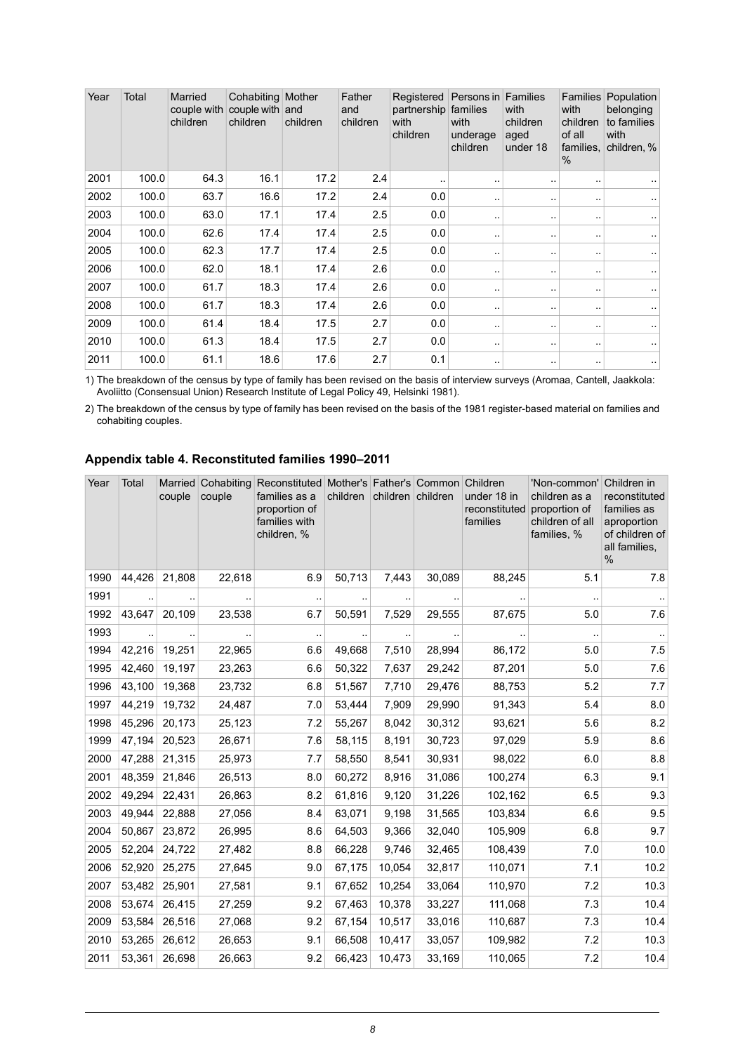| Year | Total | Married<br>couple with<br>children | Cohabiting Mother<br>couple with and<br>children | children | Father<br>and<br>children | Registered<br>partnership families<br>with<br>children | Persons in<br>with<br>underage<br>children | <b>Families</b><br>with<br>children<br>aged<br>under 18 | <b>Families</b><br>with<br>children<br>of all<br>families.<br>% | Population<br>belonging<br>to families<br>with<br>children, % |
|------|-------|------------------------------------|--------------------------------------------------|----------|---------------------------|--------------------------------------------------------|--------------------------------------------|---------------------------------------------------------|-----------------------------------------------------------------|---------------------------------------------------------------|
| 2001 | 100.0 | 64.3                               | 16.1                                             | 17.2     | 2.4                       |                                                        |                                            |                                                         | . .                                                             |                                                               |
| 2002 | 100.0 | 63.7                               | 16.6                                             | 17.2     | 2.4                       | 0.0                                                    | . .                                        | . .                                                     | $\sim$                                                          | ۰.                                                            |
| 2003 | 100.0 | 63.0                               | 17.1                                             | 17.4     | 2.5                       | 0.0                                                    |                                            | . .                                                     | . .                                                             |                                                               |
| 2004 | 100.0 | 62.6                               | 17.4                                             | 17.4     | 2.5                       | 0.0                                                    |                                            | $\cdot$ .                                               |                                                                 |                                                               |
| 2005 | 100.0 | 62.3                               | 17.7                                             | 17.4     | 2.5                       | 0.0                                                    | $\ddotsc$                                  |                                                         |                                                                 |                                                               |
| 2006 | 100.0 | 62.0                               | 18.1                                             | 17.4     | 2.6                       | 0.0                                                    |                                            |                                                         | $\sim$                                                          |                                                               |
| 2007 | 100.0 | 61.7                               | 18.3                                             | 17.4     | 2.6                       | 0.0                                                    | $\sim$                                     |                                                         |                                                                 | ٠.                                                            |
| 2008 | 100.0 | 61.7                               | 18.3                                             | 17.4     | 2.6                       | 0.0                                                    |                                            |                                                         | . .                                                             | ٠.                                                            |
| 2009 | 100.0 | 61.4                               | 18.4                                             | 17.5     | 2.7                       | 0.0                                                    | $\ddot{\phantom{1}}$ .                     | . .                                                     | $\sim$                                                          | ٠.                                                            |
| 2010 | 100.0 | 61.3                               | 18.4                                             | 17.5     | 2.7                       | 0.0                                                    | $\ddotsc$                                  |                                                         | . .                                                             |                                                               |
| 2011 | 100.0 | 61.1                               | 18.6                                             | 17.6     | 2.7                       | 0.1                                                    |                                            | . .                                                     | $\sim$                                                          | ٠.                                                            |

The breakdown of the census by type of family has been revised on the basis of interview surveys (Aromaa, Cantell, Jaakkola: Avoliitto (Consensual Union) Research Institute of Legal Policy 49, Helsinki 1981). 1)

<span id="page-7-0"></span>2) The breakdown of the census by type of family has been revised on the basis of the 1981 register-based material on families and cohabiting couples.

#### **Appendix table 4. Reconstituted families 1990–2011**

| Year | Total  | Married<br>couple | couple | Cohabiting Reconstituted Mother's Father's Common Children<br>families as a<br>proportion of<br>families with<br>children, % | children | children children |        | under 18 in<br>reconstituted<br>families | 'Non-common'<br>children as a<br>proportion of<br>children of all<br>families, % | Children in<br>reconstituted<br>families as<br>aproportion<br>of children of<br>all families,<br>$\%$ |
|------|--------|-------------------|--------|------------------------------------------------------------------------------------------------------------------------------|----------|-------------------|--------|------------------------------------------|----------------------------------------------------------------------------------|-------------------------------------------------------------------------------------------------------|
| 1990 | 44,426 | 21,808            | 22,618 | 6.9                                                                                                                          | 50,713   | 7,443             | 30,089 | 88,245                                   | 5.1                                                                              | 7.8                                                                                                   |
| 1991 |        |                   |        | $\ddot{\phantom{a}}$                                                                                                         |          | $\ddotsc$         |        |                                          |                                                                                  |                                                                                                       |
| 1992 | 43,647 | 20,109            | 23,538 | 6.7                                                                                                                          | 50,591   | 7,529             | 29,555 | 87,675                                   | 5.0                                                                              | 7.6                                                                                                   |
| 1993 |        |                   |        | $\cdot$ .                                                                                                                    |          | $\sim$            |        |                                          | $\ddotsc$                                                                        |                                                                                                       |
| 1994 | 42,216 | 19,251            | 22,965 | 6.6                                                                                                                          | 49,668   | 7,510             | 28,994 | 86,172                                   | 5.0                                                                              | 7.5                                                                                                   |
| 1995 | 42,460 | 19,197            | 23,263 | 6.6                                                                                                                          | 50,322   | 7,637             | 29,242 | 87,201                                   | 5.0                                                                              | 7.6                                                                                                   |
| 1996 | 43,100 | 19,368            | 23,732 | 6.8                                                                                                                          | 51,567   | 7,710             | 29,476 | 88,753                                   | 5.2                                                                              | 7.7                                                                                                   |
| 1997 | 44,219 | 19,732            | 24,487 | 7.0                                                                                                                          | 53,444   | 7,909             | 29,990 | 91,343                                   | 5.4                                                                              | 8.0                                                                                                   |
| 1998 | 45,296 | 20,173            | 25,123 | 7.2                                                                                                                          | 55,267   | 8,042             | 30,312 | 93,621                                   | 5.6                                                                              | 8.2                                                                                                   |
| 1999 | 47,194 | 20,523            | 26,671 | 7.6                                                                                                                          | 58,115   | 8,191             | 30,723 | 97,029                                   | 5.9                                                                              | 8.6                                                                                                   |
| 2000 | 47,288 | 21,315            | 25,973 | 7.7                                                                                                                          | 58,550   | 8,541             | 30,931 | 98,022                                   | 6.0                                                                              | 8.8                                                                                                   |
| 2001 | 48,359 | 21,846            | 26,513 | 8.0                                                                                                                          | 60,272   | 8,916             | 31,086 | 100,274                                  | 6.3                                                                              | 9.1                                                                                                   |
| 2002 | 49,294 | 22,431            | 26,863 | 8.2                                                                                                                          | 61,816   | 9,120             | 31,226 | 102,162                                  | 6.5                                                                              | 9.3                                                                                                   |
| 2003 | 49,944 | 22,888            | 27,056 | 8.4                                                                                                                          | 63,071   | 9,198             | 31,565 | 103,834                                  | 6.6                                                                              | 9.5                                                                                                   |
| 2004 | 50,867 | 23,872            | 26,995 | 8.6                                                                                                                          | 64,503   | 9,366             | 32,040 | 105,909                                  | 6.8                                                                              | 9.7                                                                                                   |
| 2005 | 52,204 | 24,722            | 27,482 | 8.8                                                                                                                          | 66,228   | 9,746             | 32,465 | 108,439                                  | 7.0                                                                              | 10.0                                                                                                  |
| 2006 | 52,920 | 25,275            | 27,645 | 9.0                                                                                                                          | 67,175   | 10,054            | 32,817 | 110,071                                  | 7.1                                                                              | 10.2                                                                                                  |
| 2007 | 53,482 | 25,901            | 27,581 | 9.1                                                                                                                          | 67,652   | 10,254            | 33,064 | 110,970                                  | 7.2                                                                              | 10.3                                                                                                  |
| 2008 | 53,674 | 26,415            | 27,259 | 9.2                                                                                                                          | 67,463   | 10,378            | 33,227 | 111,068                                  | 7.3                                                                              | 10.4                                                                                                  |
| 2009 | 53,584 | 26,516            | 27,068 | 9.2                                                                                                                          | 67,154   | 10,517            | 33,016 | 110,687                                  | 7.3                                                                              | 10.4                                                                                                  |
| 2010 | 53,265 | 26,612            | 26,653 | 9.1                                                                                                                          | 66,508   | 10,417            | 33,057 | 109,982                                  | 7.2                                                                              | 10.3                                                                                                  |
| 2011 | 53,361 | 26,698            | 26,663 | 9.2                                                                                                                          | 66,423   | 10,473            | 33,169 | 110,065                                  | 7.2                                                                              | 10.4                                                                                                  |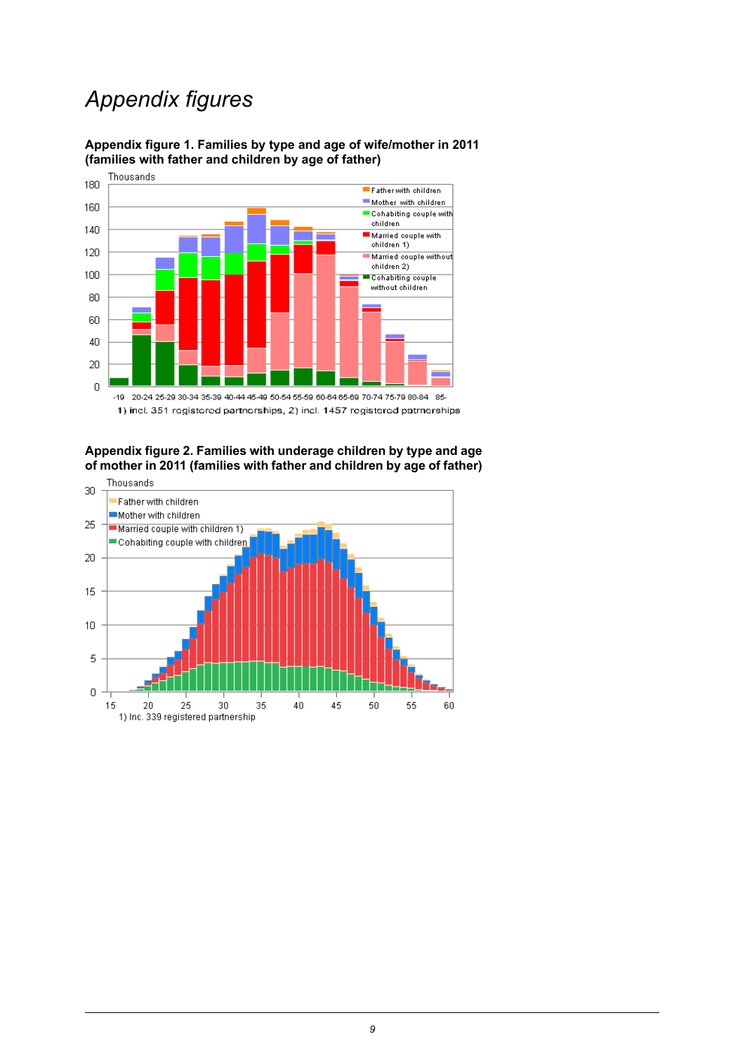## *Appendix figures*



<span id="page-8-0"></span>**Appendix figure 1. Families by type and age of wife/mother in 2011 (families with father and children by age of father)**

<span id="page-8-1"></span>**Appendix figure 2. Families with underage children by type and age of mother in 2011 (families with father and children by age of father)**

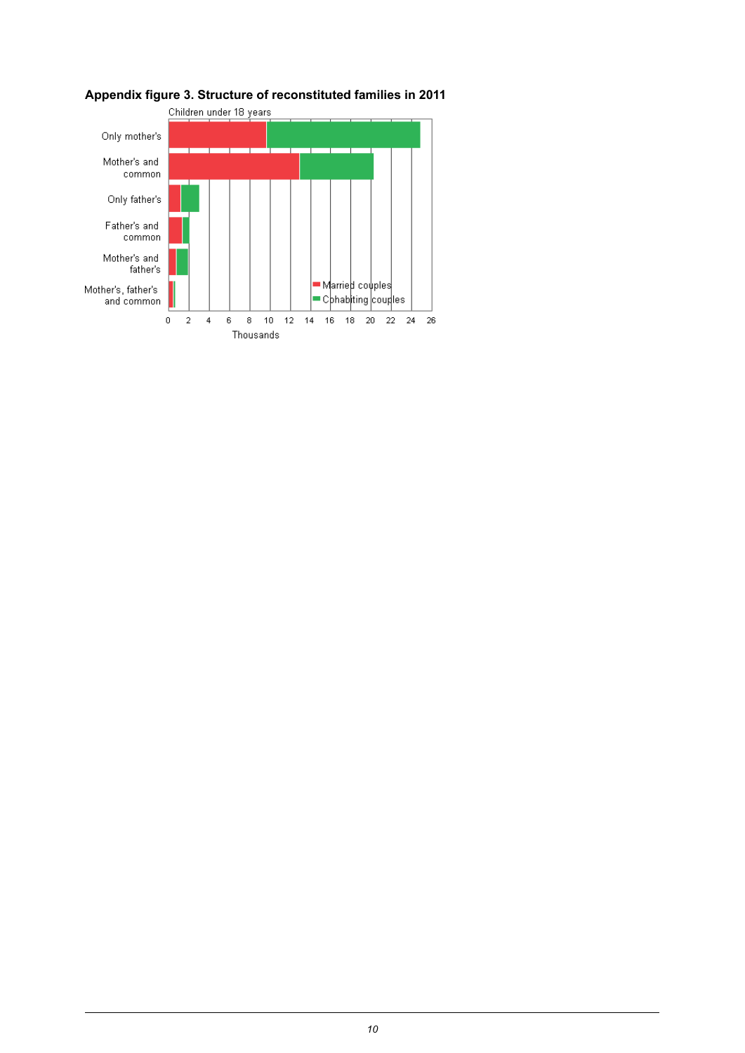

### <span id="page-9-0"></span>**Appendix figure 3. Structure of reconstituted families in 2011**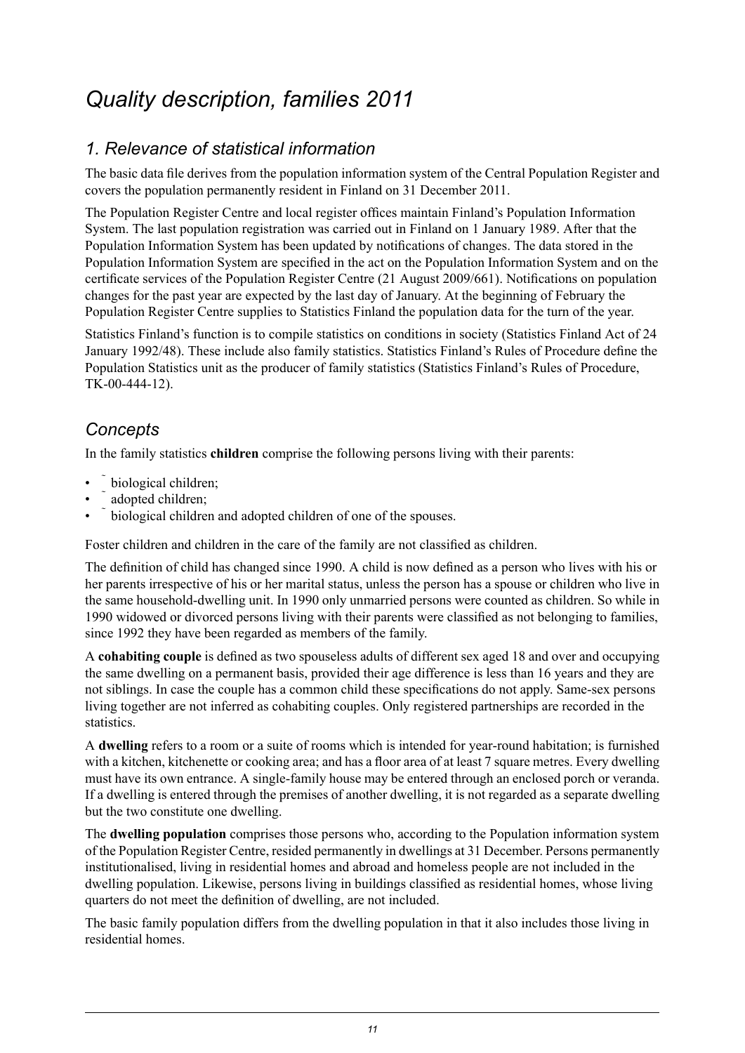## <span id="page-10-0"></span>*Quality description, families 2011*

### *1. Relevance of statistical information*

The basic data file derives from the population information system of the Central Population Register and covers the population permanently resident in Finland on 31 December 2011.

The Population Register Centre and local register offices maintain Finland's Population Information System. The last population registration was carried out in Finland on 1 January 1989. After that the Population Information System has been updated by notifications of changes. The data stored in the Population Information System are specified in the act on the Population Information System and on the certificate services of the Population Register Centre (21 August 2009/661). Notifications on population changes for the past year are expected by the last day of January. At the beginning of February the Population Register Centre supplies to Statistics Finland the population data for the turn of the year.

Statistics Finland's function is to compile statistics on conditions in society (Statistics Finland Act of 24 January 1992/48). These include also family statistics. Statistics Finland's Rules of Procedure define the Population Statistics unit as the producer of family statistics (Statistics Finland's Rules of Procedure, TK-00-444-12).

### *Concepts*

In the family statistics **children** comprise the following persons living with their parents:

- biological children;
- adopted children;
- biological children and adopted children of one of the spouses.

Foster children and children in the care of the family are not classified as children.

The definition of child has changed since 1990. A child is now defined as a person who lives with his or her parents irrespective of his or her marital status, unless the person has a spouse or children who live in the same household-dwelling unit. In 1990 only unmarried persons were counted as children. So while in 1990 widowed or divorced persons living with their parents were classified as not belonging to families, since 1992 they have been regarded as members of the family.

A **cohabiting couple** is defined as two spouseless adults of different sex aged 18 and over and occupying the same dwelling on a permanent basis, provided their age difference is less than 16 years and they are not siblings. In case the couple has a common child these specifications do not apply. Same-sex persons living together are not inferred as cohabiting couples. Only registered partnerships are recorded in the statistics.

A **dwelling** refers to a room or a suite of rooms which is intended for year-round habitation; is furnished with a kitchen, kitchenette or cooking area; and has a floor area of at least 7 square metres. Every dwelling must have its own entrance. A single-family house may be entered through an enclosed porch or veranda. If a dwelling is entered through the premises of another dwelling, it is not regarded as a separate dwelling but the two constitute one dwelling.

The **dwelling population** comprises those persons who, according to the Population information system of the Population Register Centre, resided permanently in dwellings at 31 December. Persons permanently institutionalised, living in residential homes and abroad and homeless people are not included in the dwelling population. Likewise, persons living in buildings classified as residential homes, whose living quarters do not meet the definition of dwelling, are not included.

The basic family population differs from the dwelling population in that it also includes those living in residential homes.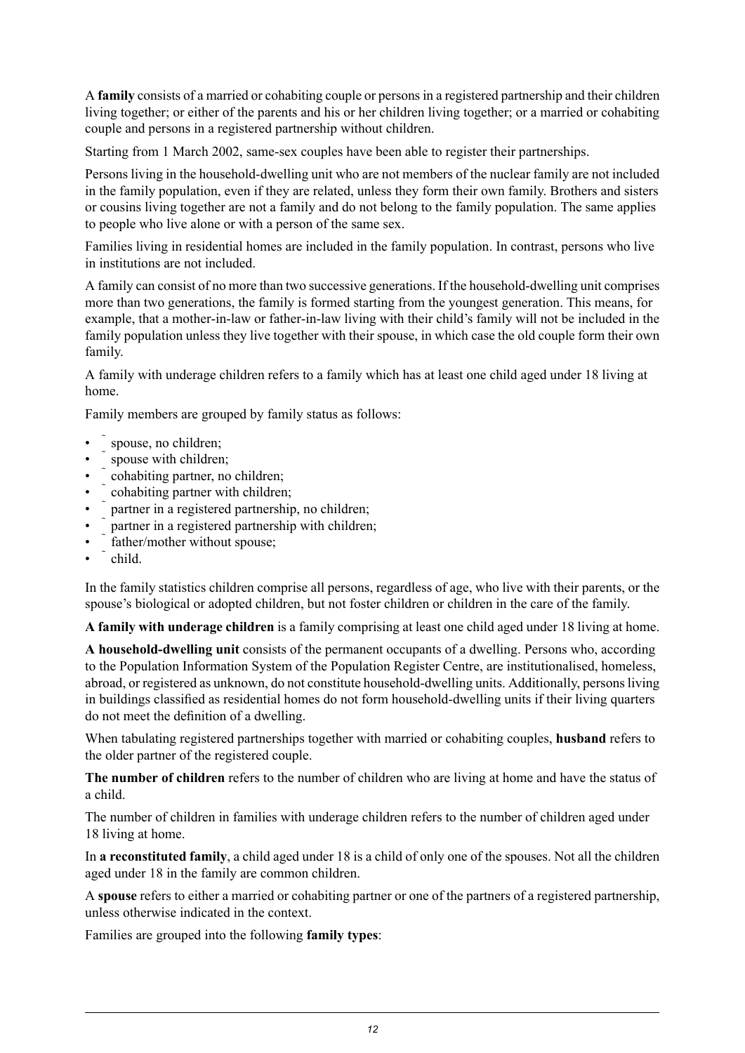A **family** consists of a married or cohabiting couple or personsin a registered partnership and their children living together; or either of the parents and his or her children living together; or a married or cohabiting couple and persons in a registered partnership without children.

Starting from 1 March 2002, same-sex couples have been able to register their partnerships.

Persons living in the household-dwelling unit who are not members of the nuclear family are not included in the family population, even if they are related, unless they form their own family. Brothers and sisters or cousins living together are not a family and do not belong to the family population. The same applies to people who live alone or with a person of the same sex.

Families living in residential homes are included in the family population. In contrast, persons who live in institutions are not included.

A family can consist of no more than two successive generations. If the household-dwelling unit comprises more than two generations, the family is formed starting from the youngest generation. This means, for example, that a mother-in-law or father-in-law living with their child's family will not be included in the family population unless they live together with their spouse, in which case the old couple form their own family.

A family with underage children refers to a family which has at least one child aged under 18 living at home.

Family members are grouped by family status as follows:

- spouse, no children;
- spouse with children:
- cohabiting partner, no children;
- cohabiting partner with children;
- partner in a registered partnership, no children;
- partner in a registered partnership with children;
- father/mother without spouse;
- child.

In the family statistics children comprise all persons, regardless of age, who live with their parents, or the spouse's biological or adopted children, but not foster children or children in the care of the family.

**A family with underage children** is a family comprising at least one child aged under 18 living at home.

**A household-dwelling unit** consists of the permanent occupants of a dwelling. Persons who, according to the Population Information System of the Population Register Centre, are institutionalised, homeless, abroad, or registered as unknown, do not constitute household-dwelling units. Additionally, persons living in buildings classified as residential homes do not form household-dwelling units if their living quarters do not meet the definition of a dwelling.

When tabulating registered partnerships together with married or cohabiting couples, **husband** refers to the older partner of the registered couple.

**The number of children** refers to the number of children who are living at home and have the status of a child.

The number of children in families with underage children refers to the number of children aged under 18 living at home.

In **a reconstituted family**, a child aged under 18 is a child of only one of the spouses. Not all the children aged under 18 in the family are common children.

A **spouse** refers to either a married or cohabiting partner or one of the partners of a registered partnership, unless otherwise indicated in the context.

Families are grouped into the following **family types**: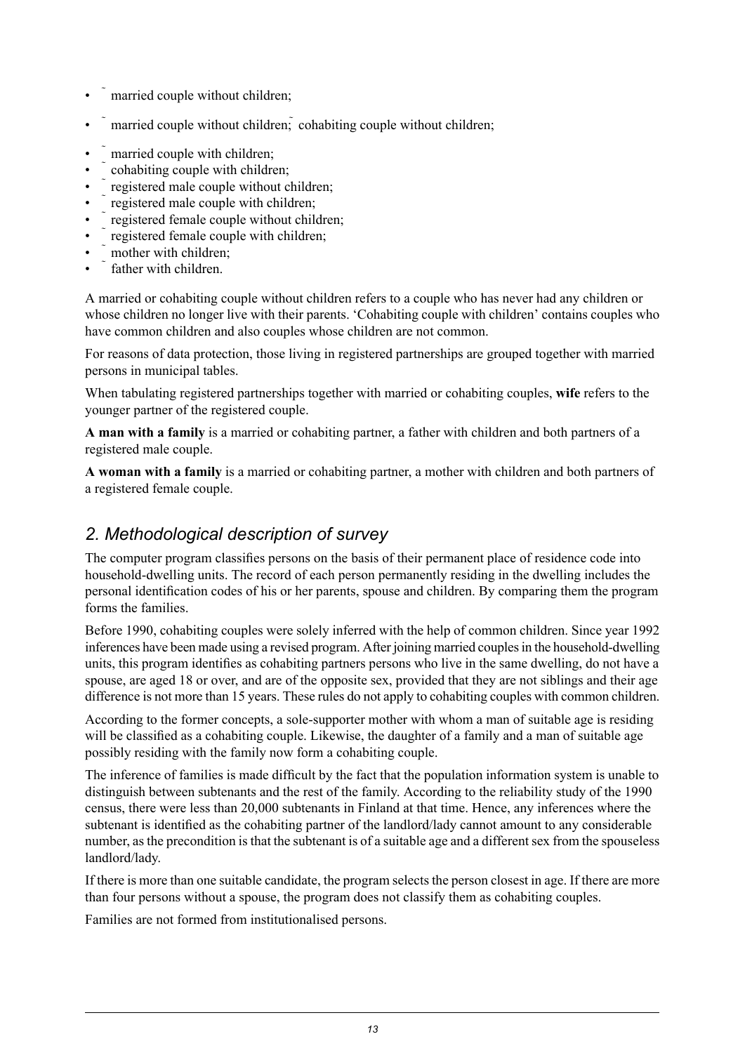- married couple without children;
- married couple without children; cohabiting couple without children;
- married couple with children;
- cohabiting couple with children;
- registered male couple without children;
- registered male couple with children;
- registered female couple without children;
- registered female couple with children;
- mother with children:
- father with children

A married or cohabiting couple without children refers to a couple who has never had any children or whose children no longer live with their parents. 'Cohabiting couple with children' contains couples who have common children and also couples whose children are not common.

For reasons of data protection, those living in registered partnerships are grouped together with married persons in municipal tables.

When tabulating registered partnerships together with married or cohabiting couples, **wife** refers to the younger partner of the registered couple.

**A man with a family** is a married or cohabiting partner, a father with children and both partners of a registered male couple.

**A woman with a family** is a married or cohabiting partner, a mother with children and both partners of a registered female couple.

### *2. Methodological description of survey*

The computer program classifies persons on the basis of their permanent place of residence code into household-dwelling units. The record of each person permanently residing in the dwelling includes the personal identification codes of his or her parents, spouse and children. By comparing them the program forms the families.

Before 1990, cohabiting couples were solely inferred with the help of common children. Since year 1992 inferences have been made using a revised program. After joining married couplesin the household-dwelling units, this program identifies as cohabiting partners persons who live in the same dwelling, do not have a spouse, are aged 18 or over, and are of the opposite sex, provided that they are not siblings and their age difference is not more than 15 years. These rules do not apply to cohabiting couples with common children.

According to the former concepts, a sole-supporter mother with whom a man of suitable age is residing will be classified as a cohabiting couple. Likewise, the daughter of a family and a man of suitable age possibly residing with the family now form a cohabiting couple.

The inference of families is made difficult by the fact that the population information system is unable to distinguish between subtenants and the rest of the family. According to the reliability study of the 1990 census, there were less than 20,000 subtenants in Finland at that time. Hence, any inferences where the subtenant is identified as the cohabiting partner of the landlord/lady cannot amount to any considerable number, as the precondition is that the subtenant is of a suitable age and a different sex from the spouseless landlord/lady.

If there is more than one suitable candidate, the program selects the person closest in age. If there are more than four persons without a spouse, the program does not classify them as cohabiting couples.

Families are not formed from institutionalised persons.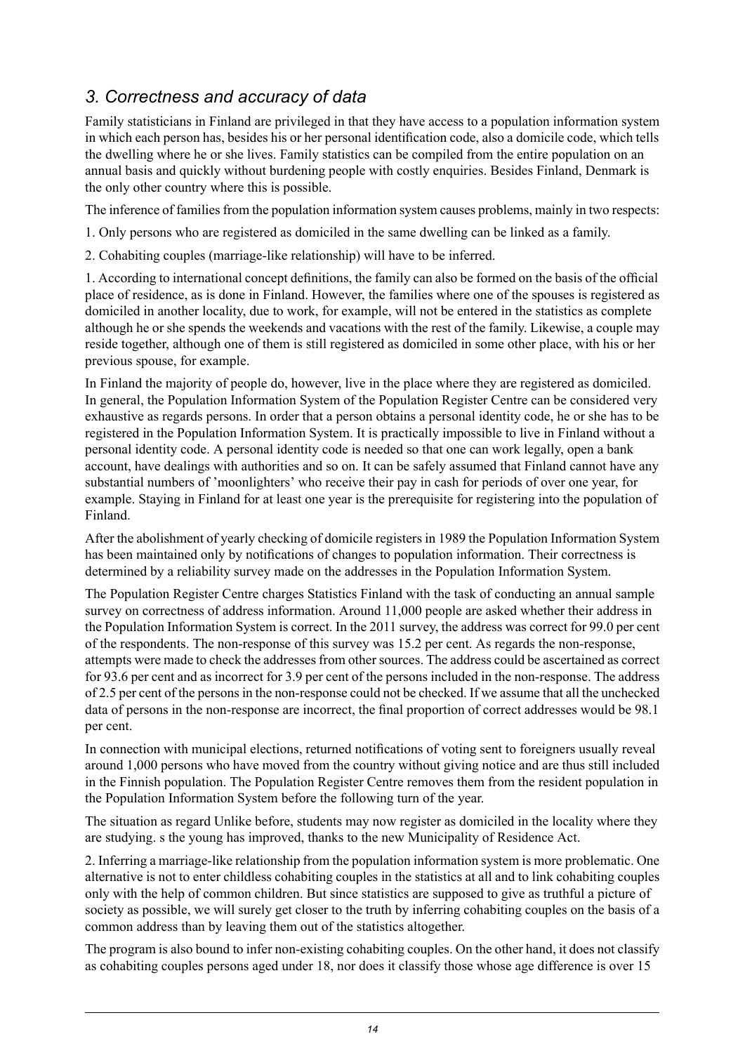### *3. Correctness and accuracy of data*

Family statisticians in Finland are privileged in that they have access to a population information system in which each person has, besides his or her personal identification code, also a domicile code, which tells the dwelling where he or she lives. Family statistics can be compiled from the entire population on an annual basis and quickly without burdening people with costly enquiries. Besides Finland, Denmark is the only other country where this is possible.

The inference of families from the population information system causes problems, mainly in two respects:

1. Only persons who are registered as domiciled in the same dwelling can be linked as a family.

2. Cohabiting couples (marriage-like relationship) will have to be inferred.

1. According to international concept definitions, the family can also be formed on the basis of the official place of residence, as is done in Finland. However, the families where one of the spouses is registered as domiciled in another locality, due to work, for example, will not be entered in the statistics as complete although he or she spends the weekends and vacations with the rest of the family. Likewise, a couple may reside together, although one of them is still registered as domiciled in some other place, with his or her previous spouse, for example.

In Finland the majority of people do, however, live in the place where they are registered as domiciled. In general, the Population Information System of the Population Register Centre can be considered very exhaustive as regards persons. In order that a person obtains a personal identity code, he or she has to be registered in the Population Information System. It is practically impossible to live in Finland without a personal identity code. A personal identity code is needed so that one can work legally, open a bank account, have dealings with authorities and so on. It can be safely assumed that Finland cannot have any substantial numbers of 'moonlighters' who receive their pay in cash for periods of over one year, for example. Staying in Finland for at least one year is the prerequisite for registering into the population of Finland.

After the abolishment of yearly checking of domicile registers in 1989 the Population Information System has been maintained only by notifications of changes to population information. Their correctness is determined by a reliability survey made on the addresses in the Population Information System.

The Population Register Centre charges Statistics Finland with the task of conducting an annual sample survey on correctness of address information. Around 11,000 people are asked whether their address in the Population Information System is correct. In the 2011 survey, the address was correct for 99.0 per cent of the respondents. The non-response of this survey was 15.2 per cent. As regards the non-response, attempts were made to check the addresses from other sources. The address could be ascertained as correct for 93.6 per cent and as incorrect for 3.9 per cent of the persons included in the non-response. The address of 2.5 per cent of the personsin the non-response could not be checked. If we assume that all the unchecked data of persons in the non-response are incorrect, the final proportion of correct addresses would be 98.1 per cent.

In connection with municipal elections, returned notifications of voting sent to foreigners usually reveal around 1,000 persons who have moved from the country without giving notice and are thus still included in the Finnish population. The Population Register Centre removes them from the resident population in the Population Information System before the following turn of the year.

The situation as regard Unlike before, students may now register as domiciled in the locality where they are studying. s the young has improved, thanks to the new Municipality of Residence Act.

2. Inferring a marriage-like relationship from the population information system is more problematic. One alternative is not to enter childless cohabiting couples in the statistics at all and to link cohabiting couples only with the help of common children. But since statistics are supposed to give as truthful a picture of society as possible, we will surely get closer to the truth by inferring cohabiting couples on the basis of a common address than by leaving them out of the statistics altogether.

The program is also bound to infer non-existing cohabiting couples. On the other hand, it does not classify as cohabiting couples persons aged under 18, nor does it classify those whose age difference is over 15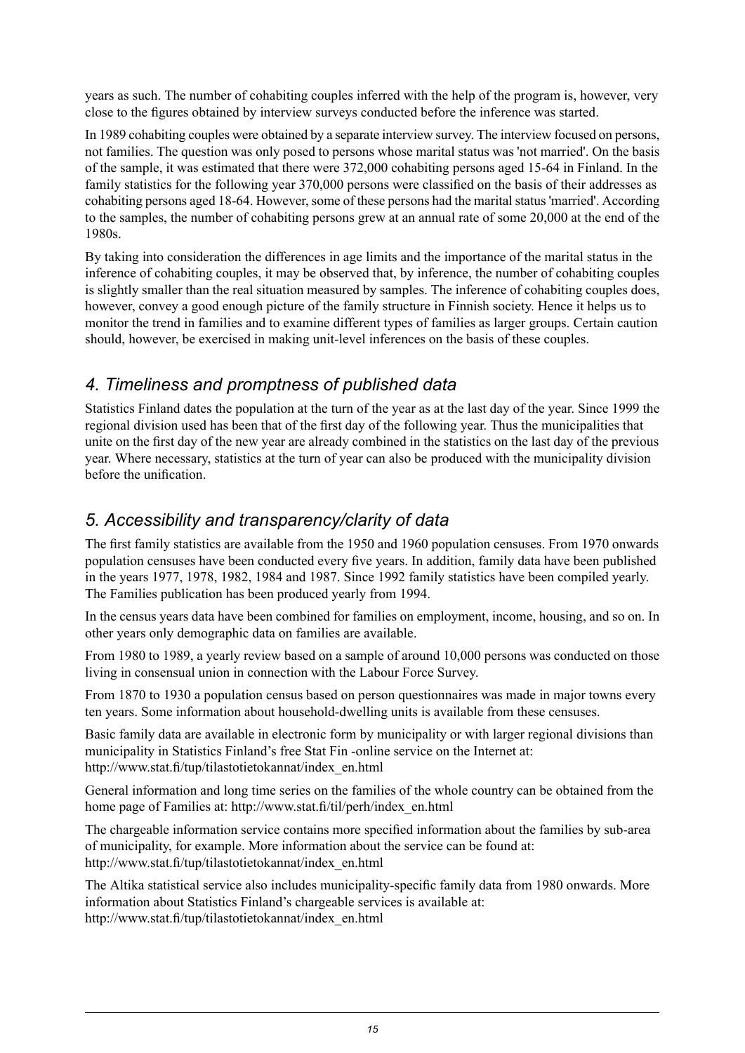years as such. The number of cohabiting couples inferred with the help of the program is, however, very close to the figures obtained by interview surveys conducted before the inference was started.

In 1989 cohabiting couples were obtained by a separate interview survey. The interview focused on persons, not families. The question was only posed to persons whose marital status was 'not married'. On the basis of the sample, it was estimated that there were 372,000 cohabiting persons aged 15-64 in Finland. In the family statistics for the following year 370,000 persons were classified on the basis of their addresses as cohabiting persons aged 18-64. However, some of these persons had the marital status 'married'. According to the samples, the number of cohabiting persons grew at an annual rate of some 20,000 at the end of the 1980s.

By taking into consideration the differences in age limits and the importance of the marital status in the inference of cohabiting couples, it may be observed that, by inference, the number of cohabiting couples is slightly smaller than the real situation measured by samples. The inference of cohabiting couples does, however, convey a good enough picture of the family structure in Finnish society. Hence it helps us to monitor the trend in families and to examine different types of families as larger groups. Certain caution should, however, be exercised in making unit-level inferences on the basis of these couples.

### *4. Timeliness and promptness of published data*

Statistics Finland dates the population at the turn of the year as at the last day of the year. Since 1999 the regional division used has been that of the first day of the following year. Thus the municipalities that unite on the first day of the new year are already combined in the statistics on the last day of the previous year. Where necessary, statistics at the turn of year can also be produced with the municipality division before the unification.

### *5. Accessibility and transparency/clarity of data*

The first family statistics are available from the 1950 and 1960 population censuses. From 1970 onwards population censuses have been conducted every five years. In addition, family data have been published in the years 1977, 1978, 1982, 1984 and 1987. Since 1992 family statistics have been compiled yearly. The Families publication has been produced yearly from 1994.

In the census years data have been combined for families on employment, income, housing, and so on. In other years only demographic data on families are available.

From 1980 to 1989, a yearly review based on a sample of around 10,000 persons was conducted on those living in consensual union in connection with the Labour Force Survey.

From 1870 to 1930 a population census based on person questionnaires was made in major towns every ten years. Some information about household-dwelling units is available from these censuses.

Basic family data are available in electronic form by municipality or with larger regional divisions than municipality in Statistics Finland's free Stat Fin -online service on the Internet at: http://www.stat.fi/tup/tilastotietokannat/index\_en.html

General information and long time series on the families of the whole country can be obtained from the home page of Families at: http://www.stat.fi/til/perh/index\_en.html

The chargeable information service contains more specified information about the families by sub-area of municipality, for example. More information about the service can be found at: http://www.stat.fi/tup/tilastotietokannat/index\_en.html

The Altika statistical service also includes municipality-specific family data from 1980 onwards. More information about Statistics Finland's chargeable services is available at: http://www.stat.fi/tup/tilastotietokannat/index\_en.html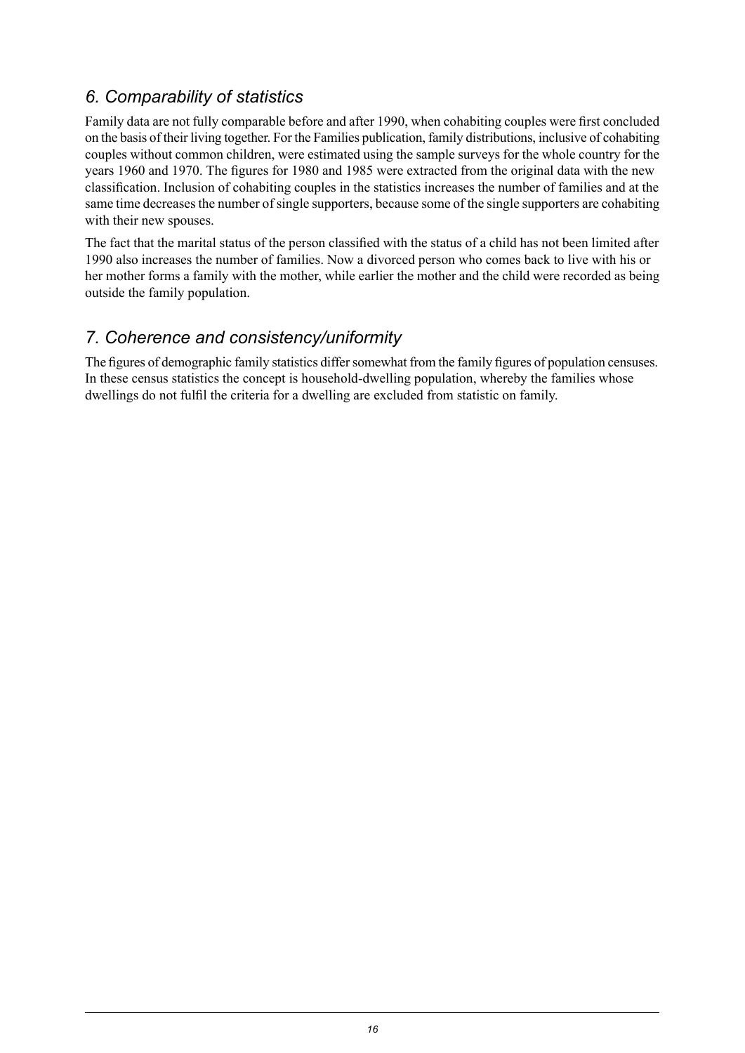### *6. Comparability of statistics*

Family data are not fully comparable before and after 1990, when cohabiting couples were first concluded on the basis of their living together. For the Families publication, family distributions, inclusive of cohabiting couples without common children, were estimated using the sample surveys for the whole country for the years 1960 and 1970. The figures for 1980 and 1985 were extracted from the original data with the new classification. Inclusion of cohabiting couples in the statistics increases the number of families and at the same time decreasesthe number ofsingle supporters, because some of the single supporters are cohabiting with their new spouses.

The fact that the marital status of the person classified with the status of a child has not been limited after 1990 also increases the number of families. Now a divorced person who comes back to live with his or her mother forms a family with the mother, while earlier the mother and the child were recorded as being outside the family population.

### *7. Coherence and consistency/uniformity*

The figures of demographic family statistics differ somewhat from the family figures of population censuses. In these census statistics the concept is household-dwelling population, whereby the families whose dwellings do not fulfil the criteria for a dwelling are excluded from statistic on family.